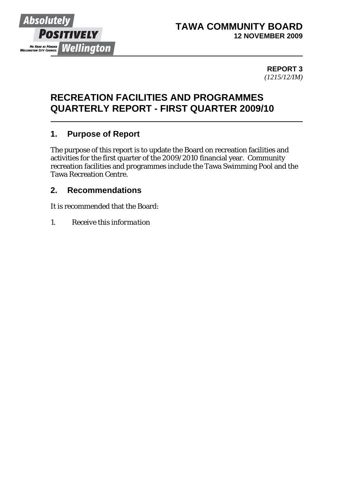

#### **TAWA COMMUNITY BOARD 12 NOVEMBER 2009**

**REPORT 3**  *(1215/12/IM)*

# **RECREATION FACILITIES AND PROGRAMMES QUARTERLY REPORT - FIRST QUARTER 2009/10**

## **1. Purpose of Report**

The purpose of this report is to update the Board on recreation facilities and activities for the first quarter of the 2009/2010 financial year. Community recreation facilities and programmes include the Tawa Swimming Pool and the Tawa Recreation Centre.

#### **2. Recommendations**

It is recommended that the Board:

*1. Receive this information*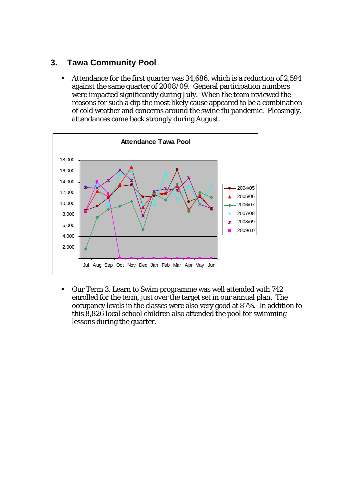## **3. Tawa Community Pool**

 Attendance for the first quarter was 34,686, which is a reduction of 2,594 against the same quarter of 2008/09. General participation numbers were impacted significantly during July. When the team reviewed the reasons for such a dip the most likely cause appeared to be a combination of cold weather and concerns around the swine flu pandemic. Pleasingly, attendances came back strongly during August.



 Our Term 3, Learn to Swim programme was well attended with 742 enrolled for the term, just over the target set in our annual plan. The occupancy levels in the classes were also very good at 87%. In addition to this 8,826 local school children also attended the pool for swimming lessons during the quarter.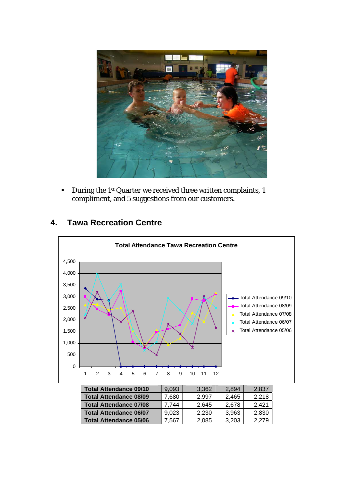

During the 1<sup>st</sup> Quarter we received three written complaints, 1 compliment, and 5 suggestions from our customers.

## **4. Tawa Recreation Centre**